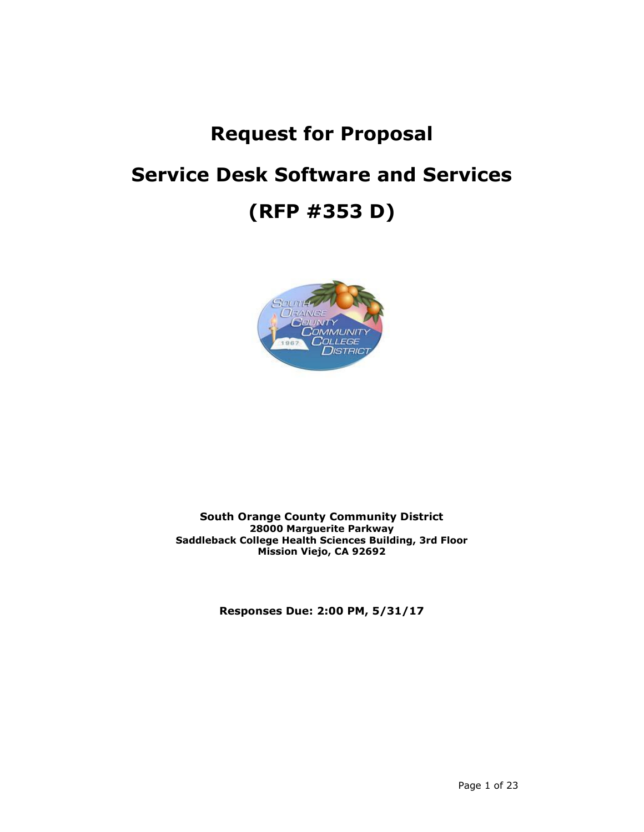# **Request for Proposal Service Desk Software and Services (RFP #353 D)**



# **South Orange County Community District 28000 Marguerite Parkway Saddleback College Health Sciences Building, 3rd Floor Mission Viejo, CA 92692**

**Responses Due: 2:00 PM, 5/31/17**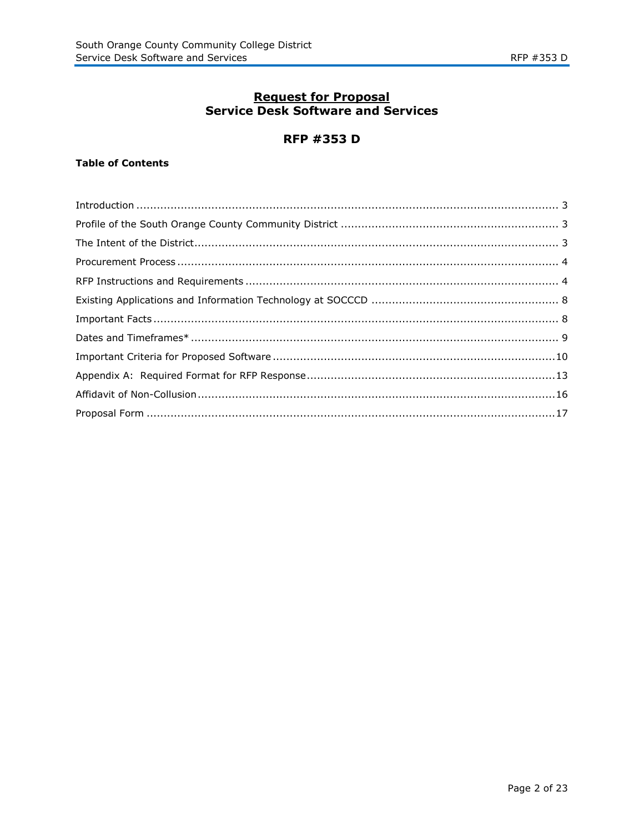# **Request for Proposal**<br>Service Desk Software and Services

# **RFP #353 D**

# **Table of Contents**

| $\begin{minipage}[c]{0.9\linewidth} \textbf{Introduction} \end{minipage}[100] \begin{minipage}[c]{0.9\linewidth} \textbf{3} \end{minipage}[110] \begin{minipage}[c]{0.9\linewidth} \textbf{4} \end{minipage}[120] \begin{minipage}[c]{0.9\linewidth} \textbf{5} \end{minipage}[130] \begin{minipage}[c]{0.9\linewidth} \textbf{6} \end{minipage}[130] \begin{minipage}[c]{0.9\linewidth} \textbf{7} \end{minipage}[130] \begin{minipage}[c]{0.9\linewidth} \textbf{6} \end{minipage}[$ |  |
|----------------------------------------------------------------------------------------------------------------------------------------------------------------------------------------------------------------------------------------------------------------------------------------------------------------------------------------------------------------------------------------------------------------------------------------------------------------------------------------|--|
|                                                                                                                                                                                                                                                                                                                                                                                                                                                                                        |  |
|                                                                                                                                                                                                                                                                                                                                                                                                                                                                                        |  |
|                                                                                                                                                                                                                                                                                                                                                                                                                                                                                        |  |
|                                                                                                                                                                                                                                                                                                                                                                                                                                                                                        |  |
|                                                                                                                                                                                                                                                                                                                                                                                                                                                                                        |  |
|                                                                                                                                                                                                                                                                                                                                                                                                                                                                                        |  |
|                                                                                                                                                                                                                                                                                                                                                                                                                                                                                        |  |
|                                                                                                                                                                                                                                                                                                                                                                                                                                                                                        |  |
|                                                                                                                                                                                                                                                                                                                                                                                                                                                                                        |  |
|                                                                                                                                                                                                                                                                                                                                                                                                                                                                                        |  |
|                                                                                                                                                                                                                                                                                                                                                                                                                                                                                        |  |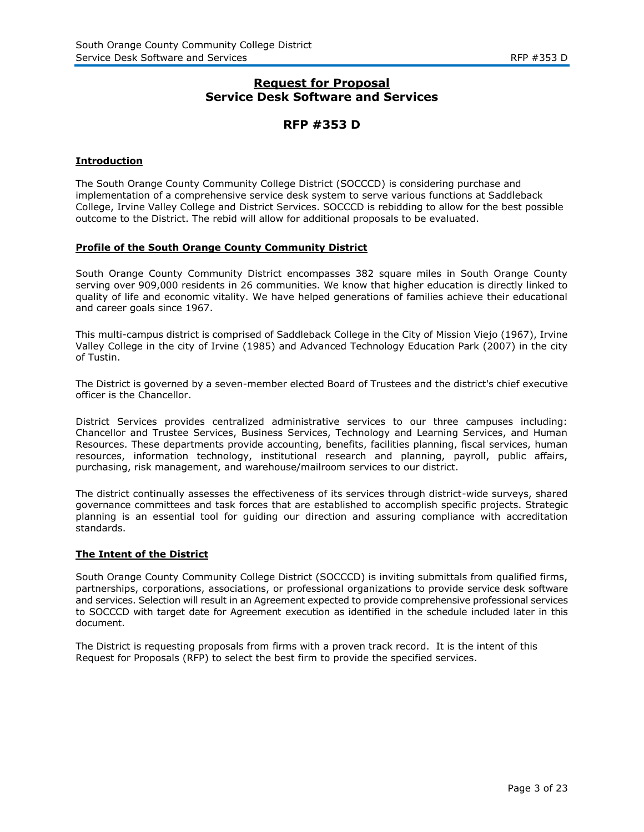# **Request for Proposal Service Desk Software and Services**

# **RFP #353 D**

#### **Introduction**

The South Orange County Community College District (SOCCCD) is considering purchase and implementation of a comprehensive service desk system to serve various functions at Saddleback College, Irvine Valley College and District Services. SOCCCD is rebidding to allow for the best possible outcome to the District. The rebid will allow for additional proposals to be evaluated.

#### **Profile of the South Orange County Community District**

South Orange County Community District encompasses 382 square miles in South Orange County serving over 909,000 residents in 26 communities. We know that higher education is directly linked to quality of life and economic vitality. We have helped generations of families achieve their educational and career goals since 1967.

This multi-campus district is comprised of Saddleback College in the City of Mission Viejo (1967), Irvine Valley College in the city of Irvine (1985) and Advanced Technology Education Park (2007) in the city of Tustin.

The District is governed by a seven-member elected Board of Trustees and the district's chief executive officer is the Chancellor.

District Services provides centralized administrative services to our three campuses including: Chancellor and Trustee Services, Business Services, Technology and Learning Services, and Human Resources. These departments provide accounting, benefits, facilities planning, fiscal services, human resources, information technology, institutional research and planning, payroll, public affairs, purchasing, risk management, and warehouse/mailroom services to our district.

The district continually assesses the effectiveness of its services through district-wide surveys, shared governance committees and task forces that are established to accomplish specific projects. Strategic planning is an essential tool for guiding our direction and assuring compliance with accreditation standards.

#### **The Intent of the District**

South Orange County Community College District (SOCCCD) is inviting submittals from qualified firms, partnerships, corporations, associations, or professional organizations to provide service desk software and services. Selection will result in an Agreement expected to provide comprehensive professional services to SOCCCD with target date for Agreement execution as identified in the schedule included later in this document.

The District is requesting proposals from firms with a proven track record. It is the intent of this Request for Proposals (RFP) to select the best firm to provide the specified services.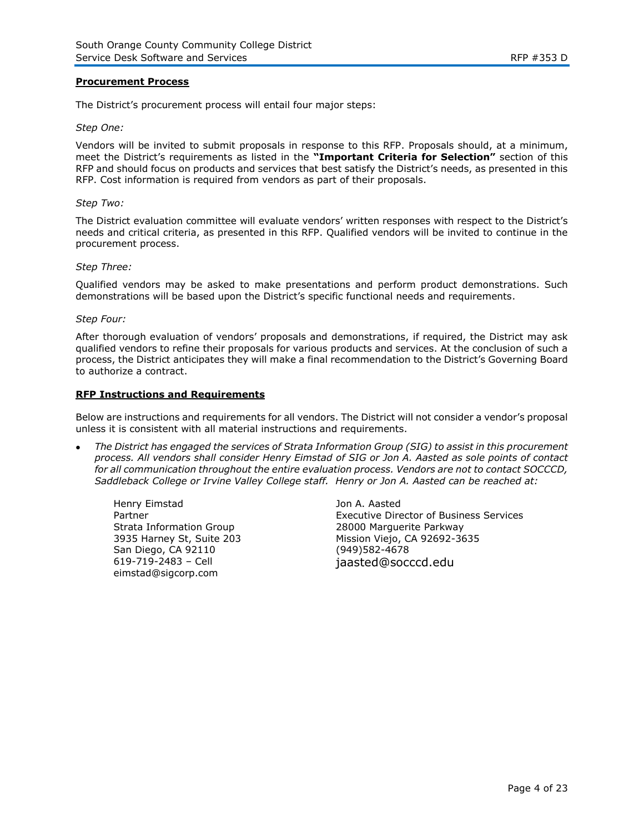#### **Procurement Process**

The District's procurement process will entail four major steps:

#### *Step One:*

Vendors will be invited to submit proposals in response to this RFP. Proposals should, at a minimum, meet the District's requirements as listed in the **"Important Criteria for Selection"** section of this RFP and should focus on products and services that best satisfy the District's needs, as presented in this RFP. Cost information is required from vendors as part of their proposals.

#### *Step Two:*

The District evaluation committee will evaluate vendors' written responses with respect to the District's needs and critical criteria, as presented in this RFP. Qualified vendors will be invited to continue in the procurement process.

#### *Step Three:*

Qualified vendors may be asked to make presentations and perform product demonstrations. Such demonstrations will be based upon the District's specific functional needs and requirements.

#### *Step Four:*

After thorough evaluation of vendors' proposals and demonstrations, if required, the District may ask qualified vendors to refine their proposals for various products and services. At the conclusion of such a process, the District anticipates they will make a final recommendation to the District's Governing Board to authorize a contract.

#### **RFP Instructions and Requirements**

Below are instructions and requirements for all vendors. The District will not consider a vendor's proposal unless it is consistent with all material instructions and requirements.

 *The District has engaged the services of Strata Information Group (SIG) to assist in this procurement process. All vendors shall consider Henry Eimstad of SIG or Jon A. Aasted as sole points of contact for all communication throughout the entire evaluation process. Vendors are not to contact SOCCCD, Saddleback College or Irvine Valley College staff. Henry or Jon A. Aasted can be reached at:*

Henry Eimstad Partner Strata Information Group 3935 Harney St, Suite 203 San Diego, CA 92110 619-719-2483 – Cell eimstad@sigcorp.com

Jon A. Aasted Executive Director of Business Services 28000 Marguerite Parkway Mission Viejo, CA 92692-3635 (949)582-4678 jaasted@socccd.edu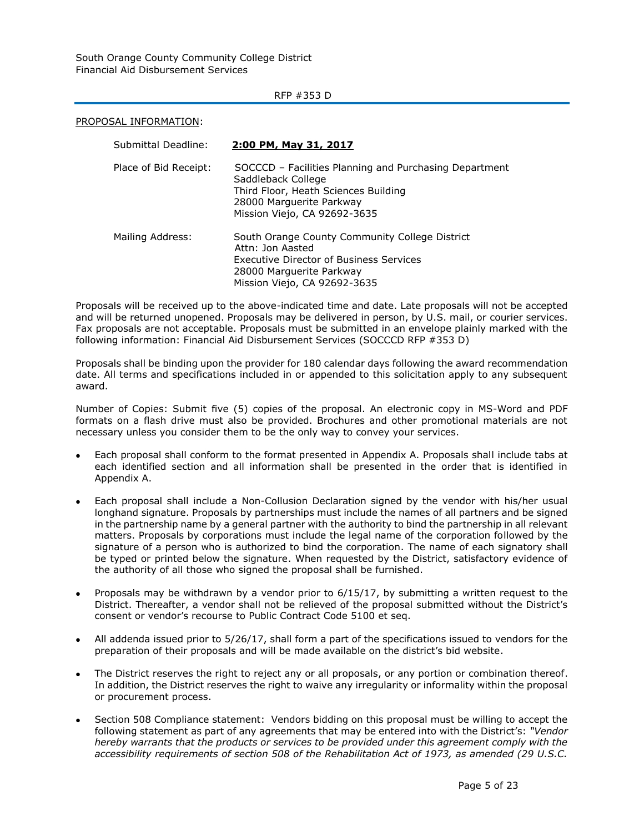South Orange County Community College District Financial Aid Disbursement Services

#### RFP #353 D

PROPOSAL INFORMATION:

| Submittal Deadline:   | <u>2:00 PM, May 31, 2017</u>                                                                                                                                                     |
|-----------------------|----------------------------------------------------------------------------------------------------------------------------------------------------------------------------------|
| Place of Bid Receipt: | SOCCCD - Facilities Planning and Purchasing Department<br>Saddleback College<br>Third Floor, Heath Sciences Building<br>28000 Marquerite Parkway<br>Mission Viejo, CA 92692-3635 |
| Mailing Address:      | South Orange County Community College District<br>Attn: Jon Aasted<br><b>Executive Director of Business Services</b><br>28000 Marquerite Parkway<br>Mission Viejo, CA 92692-3635 |

Proposals will be received up to the above-indicated time and date. Late proposals will not be accepted and will be returned unopened. Proposals may be delivered in person, by U.S. mail, or courier services. Fax proposals are not acceptable. Proposals must be submitted in an envelope plainly marked with the following information: Financial Aid Disbursement Services (SOCCCD RFP #353 D)

Proposals shall be binding upon the provider for 180 calendar days following the award recommendation date. All terms and specifications included in or appended to this solicitation apply to any subsequent award.

Number of Copies: Submit five (5) copies of the proposal. An electronic copy in MS-Word and PDF formats on a flash drive must also be provided. Brochures and other promotional materials are not necessary unless you consider them to be the only way to convey your services.

- Each proposal shall conform to the format presented in Appendix A. Proposals shall include tabs at each identified section and all information shall be presented in the order that is identified in Appendix A.
- Each proposal shall include a Non-Collusion Declaration signed by the vendor with his/her usual longhand signature. Proposals by partnerships must include the names of all partners and be signed in the partnership name by a general partner with the authority to bind the partnership in all relevant matters. Proposals by corporations must include the legal name of the corporation followed by the signature of a person who is authorized to bind the corporation. The name of each signatory shall be typed or printed below the signature. When requested by the District, satisfactory evidence of the authority of all those who signed the proposal shall be furnished.
- Proposals may be withdrawn by a vendor prior to 6/15/17, by submitting a written request to the District. Thereafter, a vendor shall not be relieved of the proposal submitted without the District's consent or vendor's recourse to Public Contract Code 5100 et seq.
- All addenda issued prior to 5/26/17, shall form a part of the specifications issued to vendors for the preparation of their proposals and will be made available on the district's bid website.
- The District reserves the right to reject any or all proposals, or any portion or combination thereof. In addition, the District reserves the right to waive any irregularity or informality within the proposal or procurement process.
- Section 508 Compliance statement: Vendors bidding on this proposal must be willing to accept the following statement as part of any agreements that may be entered into with the District's: *"Vendor hereby warrants that the products or services to be provided under this agreement comply with the accessibility requirements of section 508 of the Rehabilitation Act of 1973, as amended (29 U.S.C.*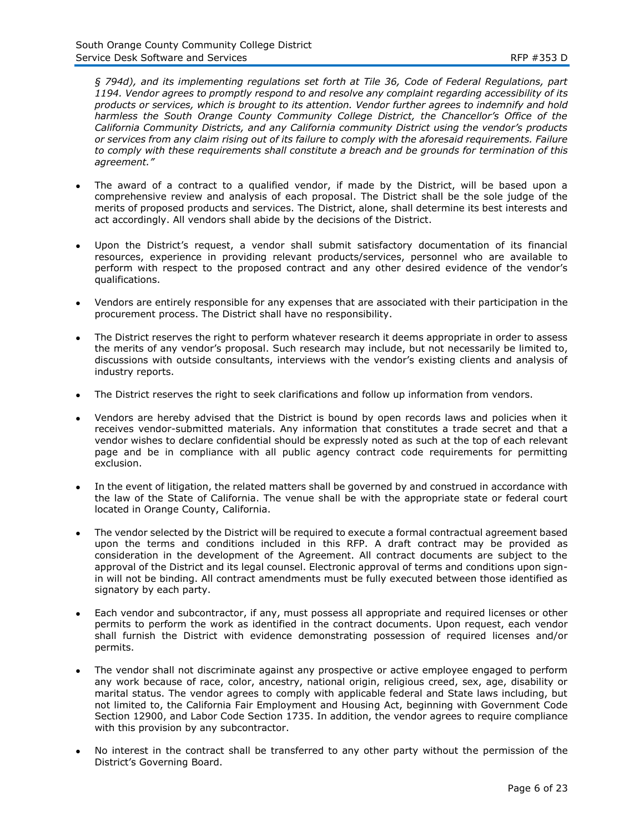*§ 794d), and its implementing regulations set forth at Tile 36, Code of Federal Regulations, part 1194. Vendor agrees to promptly respond to and resolve any complaint regarding accessibility of its products or services, which is brought to its attention. Vendor further agrees to indemnify and hold harmless the South Orange County Community College District, the Chancellor's Office of the California Community Districts, and any California community District using the vendor's products or services from any claim rising out of its failure to comply with the aforesaid requirements. Failure to comply with these requirements shall constitute a breach and be grounds for termination of this agreement."*

- The award of a contract to a qualified vendor, if made by the District, will be based upon a comprehensive review and analysis of each proposal. The District shall be the sole judge of the merits of proposed products and services. The District, alone, shall determine its best interests and act accordingly. All vendors shall abide by the decisions of the District.
- Upon the District's request, a vendor shall submit satisfactory documentation of its financial resources, experience in providing relevant products/services, personnel who are available to perform with respect to the proposed contract and any other desired evidence of the vendor's qualifications.
- Vendors are entirely responsible for any expenses that are associated with their participation in the procurement process. The District shall have no responsibility.
- The District reserves the right to perform whatever research it deems appropriate in order to assess the merits of any vendor's proposal. Such research may include, but not necessarily be limited to, discussions with outside consultants, interviews with the vendor's existing clients and analysis of industry reports.
- The District reserves the right to seek clarifications and follow up information from vendors.
- Vendors are hereby advised that the District is bound by open records laws and policies when it receives vendor-submitted materials. Any information that constitutes a trade secret and that a vendor wishes to declare confidential should be expressly noted as such at the top of each relevant page and be in compliance with all public agency contract code requirements for permitting exclusion.
- In the event of litigation, the related matters shall be governed by and construed in accordance with the law of the State of California. The venue shall be with the appropriate state or federal court located in Orange County, California.
- The vendor selected by the District will be required to execute a formal contractual agreement based upon the terms and conditions included in this RFP. A draft contract may be provided as consideration in the development of the Agreement. All contract documents are subject to the approval of the District and its legal counsel. Electronic approval of terms and conditions upon signin will not be binding. All contract amendments must be fully executed between those identified as signatory by each party.
- Each vendor and subcontractor, if any, must possess all appropriate and required licenses or other permits to perform the work as identified in the contract documents. Upon request, each vendor shall furnish the District with evidence demonstrating possession of required licenses and/or permits.
- The vendor shall not discriminate against any prospective or active employee engaged to perform any work because of race, color, ancestry, national origin, religious creed, sex, age, disability or marital status. The vendor agrees to comply with applicable federal and State laws including, but not limited to, the California Fair Employment and Housing Act, beginning with Government Code Section 12900, and Labor Code Section 1735. In addition, the vendor agrees to require compliance with this provision by any subcontractor.
- No interest in the contract shall be transferred to any other party without the permission of the District's Governing Board.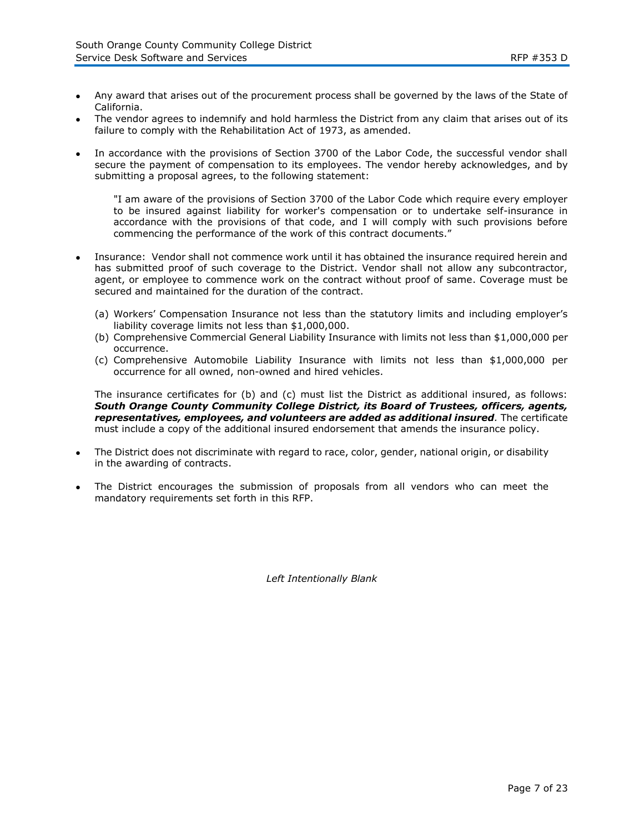- Any award that arises out of the procurement process shall be governed by the laws of the State of California.
- The vendor agrees to indemnify and hold harmless the District from any claim that arises out of its failure to comply with the Rehabilitation Act of 1973, as amended.
- In accordance with the provisions of Section 3700 of the Labor Code, the successful vendor shall secure the payment of compensation to its employees. The vendor hereby acknowledges, and by submitting a proposal agrees, to the following statement:

"I am aware of the provisions of Section 3700 of the Labor Code which require every employer to be insured against liability for worker's compensation or to undertake self-insurance in accordance with the provisions of that code, and I will comply with such provisions before commencing the performance of the work of this contract documents."

- Insurance: Vendor shall not commence work until it has obtained the insurance required herein and has submitted proof of such coverage to the District. Vendor shall not allow any subcontractor, agent, or employee to commence work on the contract without proof of same. Coverage must be secured and maintained for the duration of the contract.
	- (a) Workers' Compensation Insurance not less than the statutory limits and including employer's liability coverage limits not less than \$1,000,000.
	- (b) Comprehensive Commercial General Liability Insurance with limits not less than \$1,000,000 per occurrence.
	- (c) Comprehensive Automobile Liability Insurance with limits not less than \$1,000,000 per occurrence for all owned, non-owned and hired vehicles.

The insurance certificates for (b) and (c) must list the District as additional insured, as follows: *South Orange County Community College District, its Board of Trustees, officers, agents, representatives, employees, and volunteers are added as additional insured.* The certificate must include a copy of the additional insured endorsement that amends the insurance policy.

- The District does not discriminate with regard to race, color, gender, national origin, or disability in the awarding of contracts.
- The District encourages the submission of proposals from all vendors who can meet the mandatory requirements set forth in this RFP.

*Left Intentionally Blank*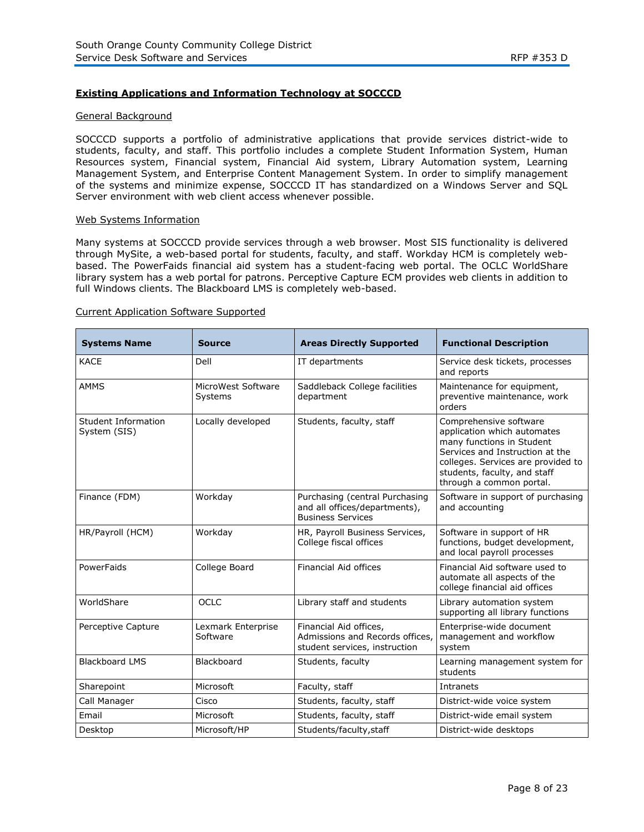# **Existing Applications and Information Technology at SOCCCD**

#### General Background

SOCCCD supports a portfolio of administrative applications that provide services district-wide to students, faculty, and staff. This portfolio includes a complete Student Information System, Human Resources system, Financial system, Financial Aid system, Library Automation system, Learning Management System, and Enterprise Content Management System. In order to simplify management of the systems and minimize expense, SOCCCD IT has standardized on a Windows Server and SQL Server environment with web client access whenever possible.

#### Web Systems Information

Many systems at SOCCCD provide services through a web browser. Most SIS functionality is delivered through MySite, a web-based portal for students, faculty, and staff. Workday HCM is completely webbased. The PowerFaids financial aid system has a student-facing web portal. The OCLC WorldShare library system has a web portal for patrons. Perceptive Capture ECM provides web clients in addition to full Windows clients. The Blackboard LMS is completely web-based.

#### Current Application Software Supported

| <b>Systems Name</b>                 | <b>Source</b>                  | <b>Areas Directly Supported</b>                                                             | <b>Functional Description</b>                                                                                                                                                                                           |
|-------------------------------------|--------------------------------|---------------------------------------------------------------------------------------------|-------------------------------------------------------------------------------------------------------------------------------------------------------------------------------------------------------------------------|
| <b>KACE</b>                         | Dell                           | IT departments                                                                              | Service desk tickets, processes<br>and reports                                                                                                                                                                          |
| <b>AMMS</b>                         | MicroWest Software<br>Systems  | Saddleback College facilities<br>department                                                 | Maintenance for equipment,<br>preventive maintenance, work<br>orders                                                                                                                                                    |
| Student Information<br>System (SIS) | Locally developed              | Students, faculty, staff                                                                    | Comprehensive software<br>application which automates<br>many functions in Student<br>Services and Instruction at the<br>colleges. Services are provided to<br>students, faculty, and staff<br>through a common portal. |
| Finance (FDM)                       | Workday                        | Purchasing (central Purchasing<br>and all offices/departments),<br><b>Business Services</b> | Software in support of purchasing<br>and accounting                                                                                                                                                                     |
| HR/Payroll (HCM)                    | Workday                        | HR, Payroll Business Services,<br>College fiscal offices                                    | Software in support of HR<br>functions, budget development,<br>and local payroll processes                                                                                                                              |
| PowerFaids                          | College Board                  | Financial Aid offices                                                                       | Financial Aid software used to<br>automate all aspects of the<br>college financial aid offices                                                                                                                          |
| WorldShare                          | OCLC                           | Library staff and students                                                                  | Library automation system<br>supporting all library functions                                                                                                                                                           |
| Perceptive Capture                  | Lexmark Enterprise<br>Software | Financial Aid offices,<br>Admissions and Records offices.<br>student services, instruction  | Enterprise-wide document<br>management and workflow<br>system                                                                                                                                                           |
| <b>Blackboard LMS</b>               | Blackboard                     | Students, faculty                                                                           | Learning management system for<br>students                                                                                                                                                                              |
| Sharepoint                          | Microsoft                      | Faculty, staff                                                                              | Intranets                                                                                                                                                                                                               |
| Call Manager                        | Cisco                          | Students, faculty, staff                                                                    | District-wide voice system                                                                                                                                                                                              |
| Email                               | Microsoft                      | Students, faculty, staff                                                                    | District-wide email system                                                                                                                                                                                              |
| Desktop                             | Microsoft/HP                   | Students/faculty, staff                                                                     | District-wide desktops                                                                                                                                                                                                  |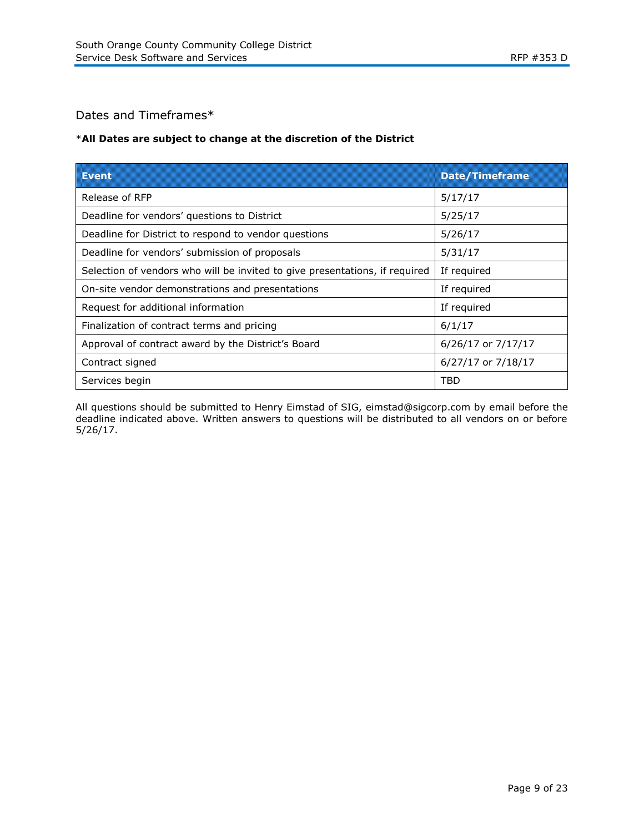# Dates and Timeframes\*

# \***All Dates are subject to change at the discretion of the District**

| ETHI                                                                        | <b>Date/Timeframe</b> |
|-----------------------------------------------------------------------------|-----------------------|
| Release of RFP                                                              | 5/17/17               |
| Deadline for vendors' questions to District                                 | 5/25/17               |
| Deadline for District to respond to vendor questions                        | 5/26/17               |
| Deadline for vendors' submission of proposals                               | 5/31/17               |
| Selection of vendors who will be invited to give presentations, if required | If required           |
| On-site vendor demonstrations and presentations                             | If required           |
| Request for additional information                                          | If required           |
| Finalization of contract terms and pricing                                  | 6/1/17                |
| Approval of contract award by the District's Board                          | 6/26/17 or 7/17/17    |
| Contract signed                                                             | 6/27/17 or 7/18/17    |
| Services begin                                                              | TBD                   |

All questions should be submitted to Henry Eimstad of SIG, eimstad@sigcorp.com by email before the deadline indicated above. Written answers to questions will be distributed to all vendors on or before 5/26/17.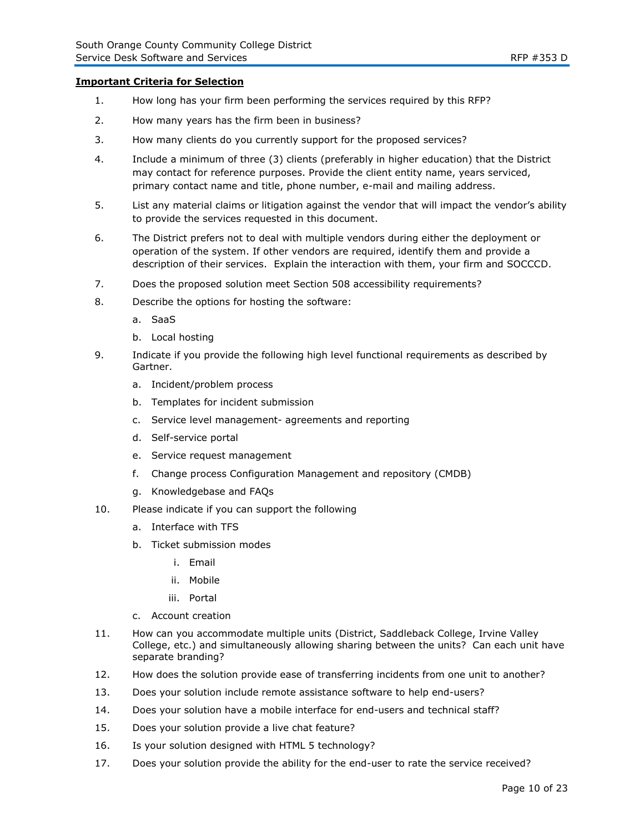### **Important Criteria for Selection**

- 1. How long has your firm been performing the services required by this RFP?
- 2. How many years has the firm been in business?
- 3. How many clients do you currently support for the proposed services?
- 4. Include a minimum of three (3) clients (preferably in higher education) that the District may contact for reference purposes. Provide the client entity name, years serviced, primary contact name and title, phone number, e-mail and mailing address.
- 5. List any material claims or litigation against the vendor that will impact the vendor's ability to provide the services requested in this document.
- 6. The District prefers not to deal with multiple vendors during either the deployment or operation of the system. If other vendors are required, identify them and provide a description of their services. Explain the interaction with them, your firm and SOCCCD.
- 7. Does the proposed solution meet Section 508 accessibility requirements?
- 8. Describe the options for hosting the software:
	- a. SaaS
	- b. Local hosting
- 9. Indicate if you provide the following high level functional requirements as described by Gartner.
	- a. Incident/problem process
	- b. Templates for incident submission
	- c. Service level management- agreements and reporting
	- d. Self-service portal
	- e. Service request management
	- f. Change process Configuration Management and repository (CMDB)
	- g. Knowledgebase and FAQs
- 10. Please indicate if you can support the following
	- a. Interface with TFS
	- b. Ticket submission modes
		- i. Email
		- ii. Mobile
		- iii. Portal
	- c. Account creation
- 11. How can you accommodate multiple units (District, Saddleback College, Irvine Valley College, etc.) and simultaneously allowing sharing between the units? Can each unit have separate branding?
- 12. How does the solution provide ease of transferring incidents from one unit to another?
- 13. Does your solution include remote assistance software to help end-users?
- 14. Does your solution have a mobile interface for end-users and technical staff?
- 15. Does your solution provide a live chat feature?
- 16. Is your solution designed with HTML 5 technology?
- 17. Does your solution provide the ability for the end-user to rate the service received?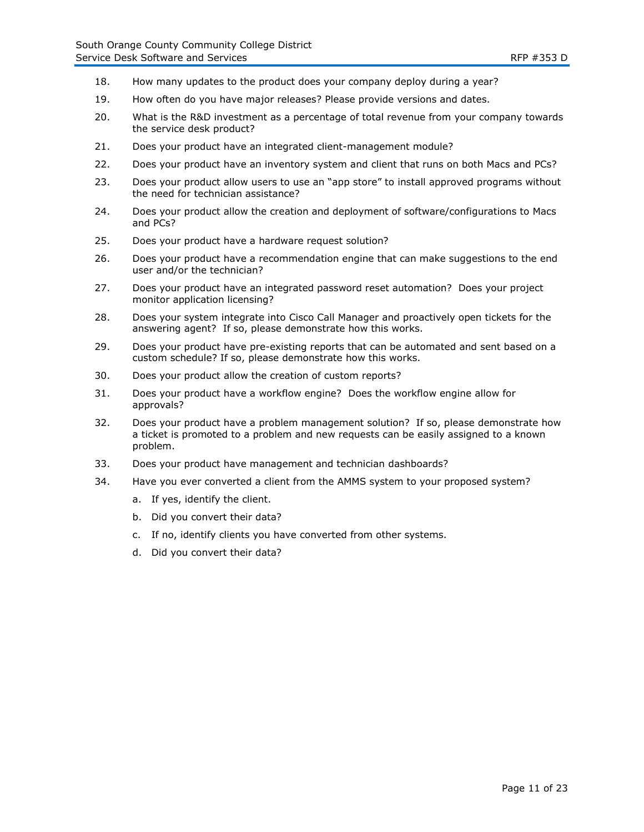- 18. How many updates to the product does your company deploy during a year?
- 19. How often do you have major releases? Please provide versions and dates.
- 20. What is the R&D investment as a percentage of total revenue from your company towards the service desk product?
- 21. Does your product have an integrated client-management module?
- 22. Does your product have an inventory system and client that runs on both Macs and PCs?
- 23. Does your product allow users to use an "app store" to install approved programs without the need for technician assistance?
- 24. Does your product allow the creation and deployment of software/configurations to Macs and PCs?
- 25. Does your product have a hardware request solution?
- 26. Does your product have a recommendation engine that can make suggestions to the end user and/or the technician?
- 27. Does your product have an integrated password reset automation? Does your project monitor application licensing?
- 28. Does your system integrate into Cisco Call Manager and proactively open tickets for the answering agent? If so, please demonstrate how this works.
- 29. Does your product have pre-existing reports that can be automated and sent based on a custom schedule? If so, please demonstrate how this works.
- 30. Does your product allow the creation of custom reports?
- 31. Does your product have a workflow engine? Does the workflow engine allow for approvals?
- 32. Does your product have a problem management solution? If so, please demonstrate how a ticket is promoted to a problem and new requests can be easily assigned to a known problem.
- 33. Does your product have management and technician dashboards?
- 34. Have you ever converted a client from the AMMS system to your proposed system?
	- a. If yes, identify the client.
	- b. Did you convert their data?
	- c. If no, identify clients you have converted from other systems.
	- d. Did you convert their data?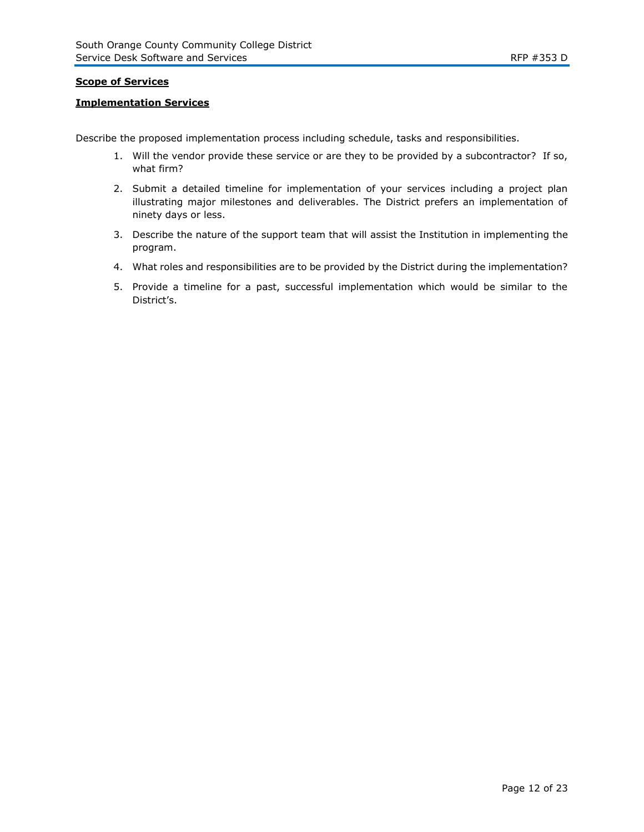# **Scope of Services**

# **Implementation Services**

Describe the proposed implementation process including schedule, tasks and responsibilities.

- 1. Will the vendor provide these service or are they to be provided by a subcontractor? If so, what firm?
- 2. Submit a detailed timeline for implementation of your services including a project plan illustrating major milestones and deliverables. The District prefers an implementation of ninety days or less.
- 3. Describe the nature of the support team that will assist the Institution in implementing the program.
- 4. What roles and responsibilities are to be provided by the District during the implementation?
- 5. Provide a timeline for a past, successful implementation which would be similar to the District's.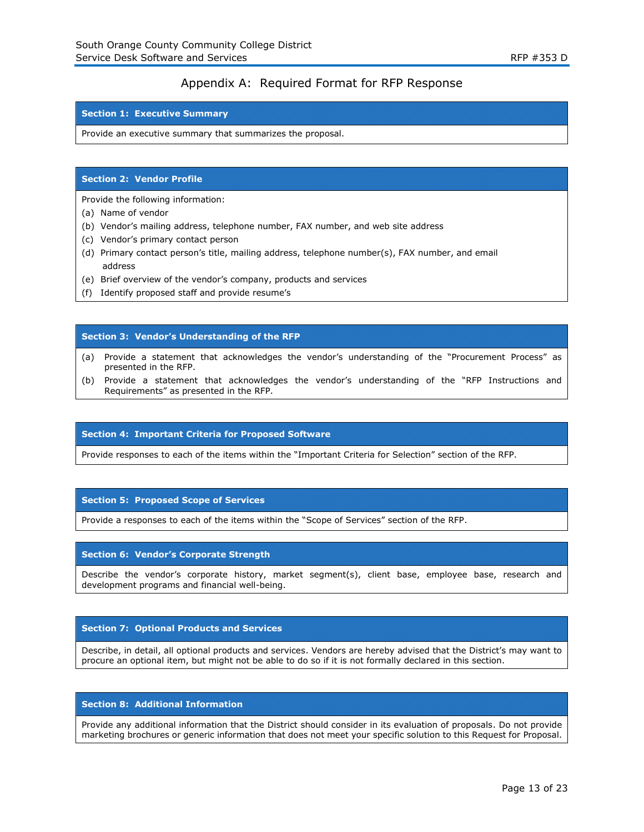# Appendix A: Required Format for RFP Response

#### **Section 1: Executive Summary**

Provide an executive summary that summarizes the proposal.

#### **Section 2: Vendor Profile**

Provide the following information:

- (a) Name of vendor
- (b) Vendor's mailing address, telephone number, FAX number, and web site address
- (c) Vendor's primary contact person
- (d) Primary contact person's title, mailing address, telephone number(s), FAX number, and email address
- (e) Brief overview of the vendor's company, products and services
- (f) Identify proposed staff and provide resume's

#### **Section 3: Vendor's Understanding of the RFP**

- (a) Provide a statement that acknowledges the vendor's understanding of the "Procurement Process" as presented in the RFP.
- (b) Provide a statement that acknowledges the vendor's understanding of the "RFP Instructions and Requirements" as presented in the RFP.

#### **Section 4: Important Criteria for Proposed Software**

Provide responses to each of the items within the "Important Criteria for Selection" section of the RFP.

#### **Section 5: Proposed Scope of Services**

Provide a responses to each of the items within the "Scope of Services" section of the RFP.

#### **Section 6: Vendor's Corporate Strength**

Describe the vendor's corporate history, market segment(s), client base, employee base, research and development programs and financial well-being.

#### **Section 7: Optional Products and Services**

Describe, in detail, all optional products and services. Vendors are hereby advised that the District's may want to procure an optional item, but might not be able to do so if it is not formally declared in this section.

#### **Section 8: Additional Information**

Provide any additional information that the District should consider in its evaluation of proposals. Do not provide marketing brochures or generic information that does not meet your specific solution to this Request for Proposal.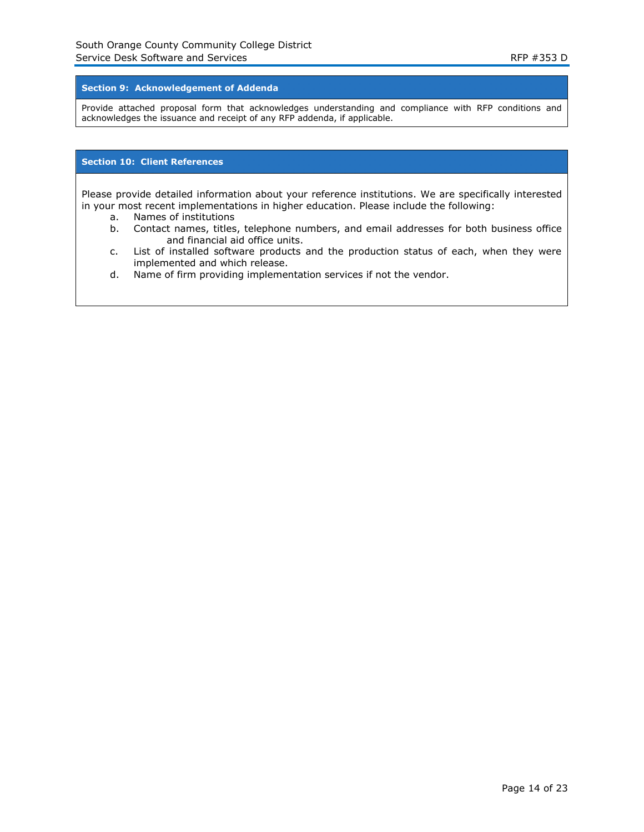### **Section 9: Acknowledgement of Addenda**

Provide attached proposal form that acknowledges understanding and compliance with RFP conditions and acknowledges the issuance and receipt of any RFP addenda, if applicable.

#### **Section 10: Client References**

Please provide detailed information about your reference institutions. We are specifically interested in your most recent implementations in higher education. Please include the following:

- a. Names of institutions
- b. Contact names, titles, telephone numbers, and email addresses for both business office and financial aid office units.
- c. List of installed software products and the production status of each, when they were implemented and which release.
- d. Name of firm providing implementation services if not the vendor.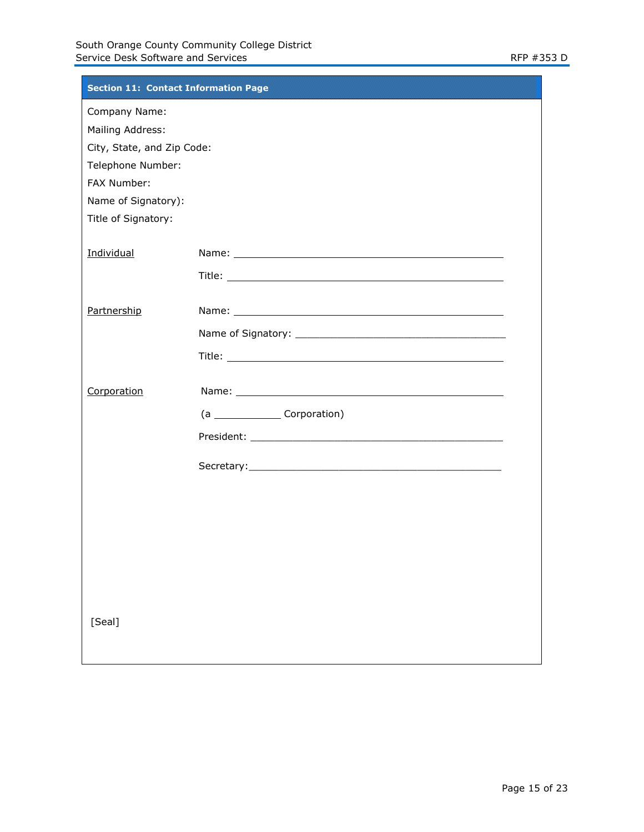| <b>Section 11: Contact Information Page</b> |                                                                                                                                                                                                                               |
|---------------------------------------------|-------------------------------------------------------------------------------------------------------------------------------------------------------------------------------------------------------------------------------|
| Company Name:                               |                                                                                                                                                                                                                               |
| Mailing Address:                            |                                                                                                                                                                                                                               |
| City, State, and Zip Code:                  |                                                                                                                                                                                                                               |
| Telephone Number:                           |                                                                                                                                                                                                                               |
| FAX Number:                                 |                                                                                                                                                                                                                               |
| Name of Signatory):<br>Title of Signatory:  |                                                                                                                                                                                                                               |
|                                             |                                                                                                                                                                                                                               |
| Individual                                  |                                                                                                                                                                                                                               |
|                                             |                                                                                                                                                                                                                               |
| Partnership                                 | Name: Name and the second contract of the second contract of the second contract of the second contract of the second contract of the second contract of the second contract of the second contract of the second contract of |
|                                             |                                                                                                                                                                                                                               |
|                                             |                                                                                                                                                                                                                               |
| Corporation                                 |                                                                                                                                                                                                                               |
|                                             | (a Corporation)                                                                                                                                                                                                               |
|                                             |                                                                                                                                                                                                                               |
|                                             |                                                                                                                                                                                                                               |
|                                             |                                                                                                                                                                                                                               |
|                                             |                                                                                                                                                                                                                               |
|                                             |                                                                                                                                                                                                                               |
|                                             |                                                                                                                                                                                                                               |
|                                             |                                                                                                                                                                                                                               |
|                                             |                                                                                                                                                                                                                               |
|                                             |                                                                                                                                                                                                                               |
| [Seal]                                      |                                                                                                                                                                                                                               |
|                                             |                                                                                                                                                                                                                               |
|                                             |                                                                                                                                                                                                                               |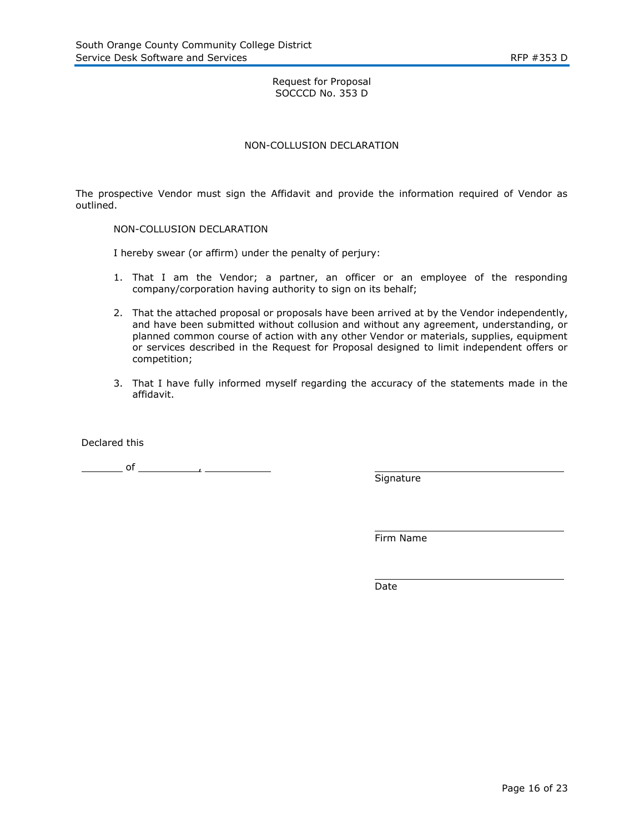# Request for Proposal SOCCCD No. 353 D

# NON-COLLUSION DECLARATION

The prospective Vendor must sign the Affidavit and provide the information required of Vendor as outlined.

#### NON-COLLUSION DECLARATION

I hereby swear (or affirm) under the penalty of perjury:

- 1. That I am the Vendor; a partner, an officer or an employee of the responding company/corporation having authority to sign on its behalf;
- 2. That the attached proposal or proposals have been arrived at by the Vendor independently, and have been submitted without collusion and without any agreement, understanding, or planned common course of action with any other Vendor or materials, supplies, equipment or services described in the Request for Proposal designed to limit independent offers or competition;
- 3. That I have fully informed myself regarding the accuracy of the statements made in the affidavit.

Declared this

 $\frac{1}{\sqrt{1-\frac{1}{2}}}\int$  of  $\frac{1}{\sqrt{1-\frac{1}{2}}}\int$   $\frac{1}{\sqrt{1-\frac{1}{2}}}\int$ 

Signature

Firm Name

Date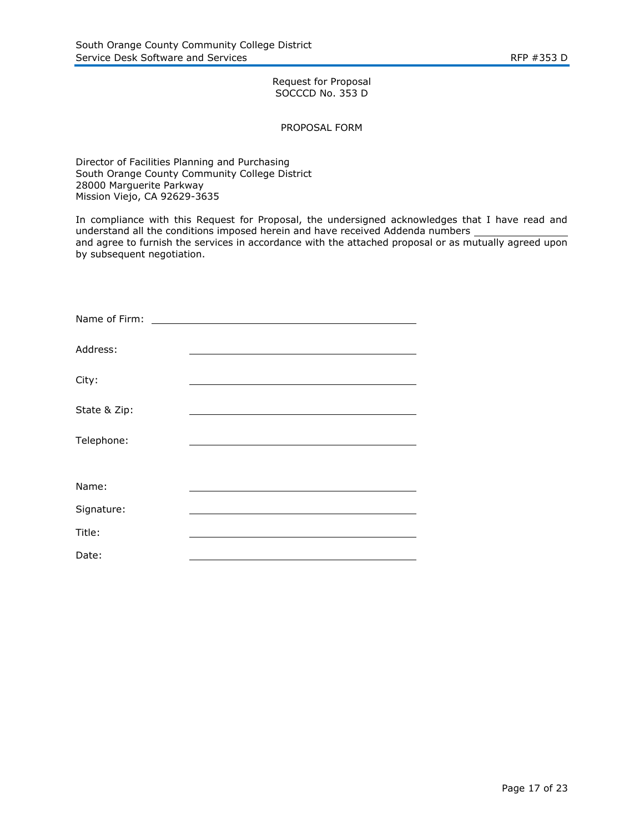# Request for Proposal SOCCCD No. 353 D

#### PROPOSAL FORM

Director of Facilities Planning and Purchasing South Orange County Community College District 28000 Marguerite Parkway Mission Viejo, CA 92629-3635

In compliance with this Request for Proposal, the undersigned acknowledges that I have read and understand all the conditions imposed herein and have received Addenda numbers and agree to furnish the services in accordance with the attached proposal or as mutually agreed upon by subsequent negotiation.

| Name of Firm: |  |
|---------------|--|
| Address:      |  |
| City:         |  |
| State & Zip:  |  |
| Telephone:    |  |
|               |  |
| Name:         |  |
| Signature:    |  |
| Title:        |  |
| Date:         |  |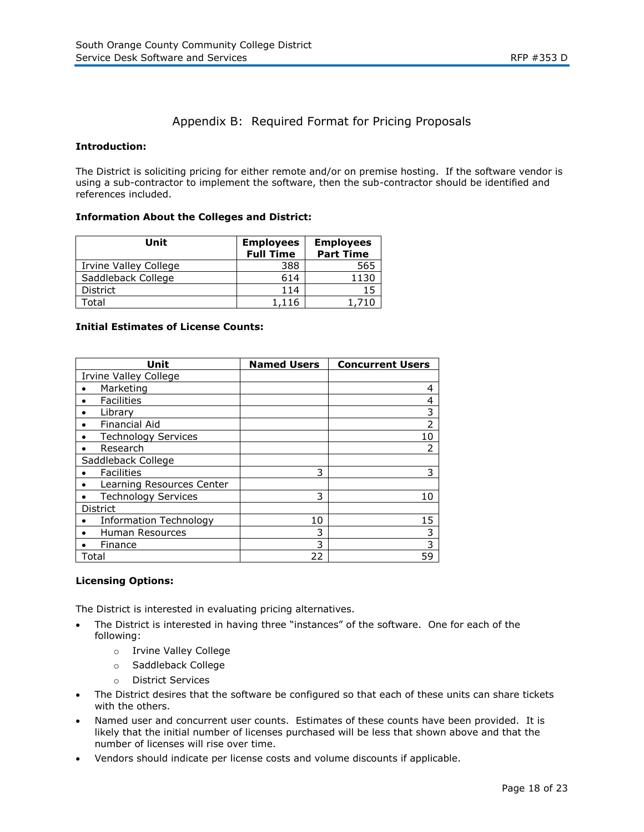# Appendix B: Required Format for Pricing Proposals

# **Introduction:**

The District is soliciting pricing for either remote and/or on premise hosting. If the software vendor is using a sub-contractor to implement the software, then the sub-contractor should be identified and references included.

#### **Information About the Colleges and District:**

| Unit                  | <b>Employees</b><br><b>Full Time</b> | <b>Employees</b><br><b>Part Time</b> |
|-----------------------|--------------------------------------|--------------------------------------|
| Irvine Valley College | 388                                  | 565                                  |
| Saddleback College    | 614                                  | 1130                                 |
| <b>District</b>       | 114                                  | 15                                   |
| otal.                 | 1.116                                |                                      |

#### **Initial Estimates of License Counts:**

| Unit                         | <b>Named Users</b> | <b>Concurrent Users</b> |
|------------------------------|--------------------|-------------------------|
| <b>Irvine Valley College</b> |                    |                         |
| Marketing                    |                    | 4                       |
| <b>Facilities</b>            |                    | 4                       |
| Library                      |                    | 3                       |
| <b>Financial Aid</b>         |                    | $\overline{2}$          |
| <b>Technology Services</b>   |                    | 10                      |
| Research                     |                    | $\overline{2}$          |
| Saddleback College           |                    |                         |
| <b>Facilities</b>            | 3                  | 3                       |
| Learning Resources Center    |                    |                         |
| <b>Technology Services</b>   | 3                  | 10                      |
| <b>District</b>              |                    |                         |
| Information Technology       | 10                 | 15                      |
| <b>Human Resources</b>       | 3                  | 3                       |
| Finance                      | 3                  | 3                       |
| Total                        | 22                 | 59                      |

# **Licensing Options:**

The District is interested in evaluating pricing alternatives.

- The District is interested in having three "instances" of the software. One for each of the following:
	- o Irvine Valley College
	- o Saddleback College
	- o District Services
- The District desires that the software be configured so that each of these units can share tickets with the others.
- Named user and concurrent user counts. Estimates of these counts have been provided. It is likely that the initial number of licenses purchased will be less that shown above and that the number of licenses will rise over time.
- Vendors should indicate per license costs and volume discounts if applicable.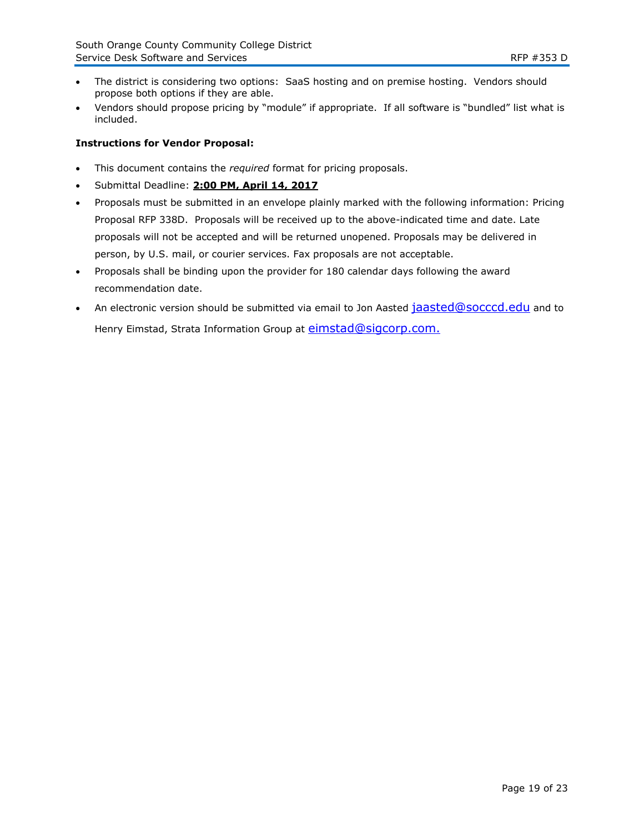- The district is considering two options: SaaS hosting and on premise hosting. Vendors should propose both options if they are able.
- Vendors should propose pricing by "module" if appropriate. If all software is "bundled" list what is included.

# **Instructions for Vendor Proposal:**

- This document contains the *required* format for pricing proposals.
- Submittal Deadline: **2:00 PM, April 14, 2017**
- Proposals must be submitted in an envelope plainly marked with the following information: Pricing Proposal RFP 338D. Proposals will be received up to the above-indicated time and date. Late proposals will not be accepted and will be returned unopened. Proposals may be delivered in person, by U.S. mail, or courier services. Fax proposals are not acceptable.
- Proposals shall be binding upon the provider for 180 calendar days following the award recommendation date.
- An electronic version should be submitted via email to Jon Aasted [jaasted@socccd.edu](mailto:jaasted@socccd.edu) and to Henry Eimstad, Strata Information Group at [eimstad@sigcorp.com.](mailto:eimstad@sigcorp.com)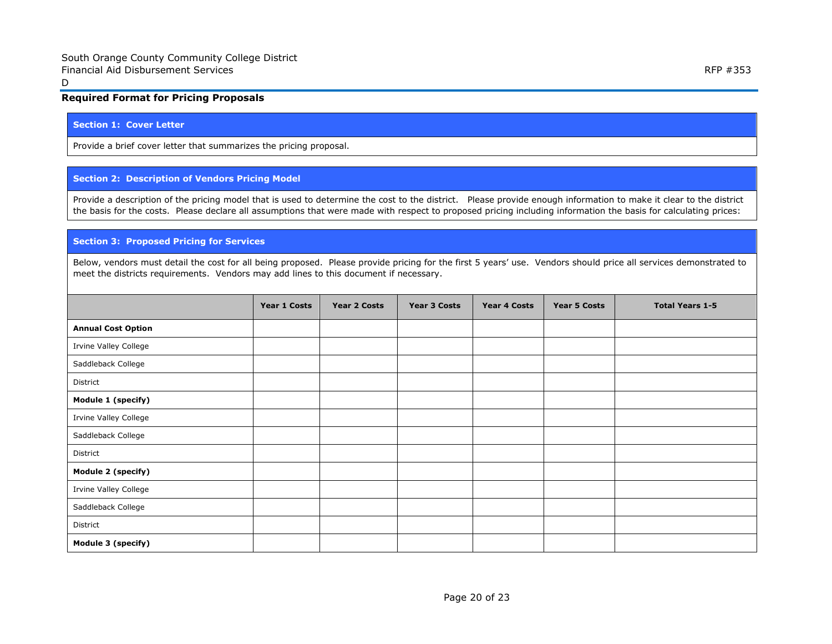# **Required Format for Pricing Proposals**

#### **Section 1: Cover Letter**

Provide a brief cover letter that summarizes the pricing proposal.

#### **Section 2: Description of Vendors Pricing Model**

Provide a description of the pricing model that is used to determine the cost to the district. Please provide enough information to make it clear to the district the basis for the costs. Please declare all assumptions that were made with respect to proposed pricing including information the basis for calculating prices:

#### **Section 3: Proposed Pricing for Services**

Below, vendors must detail the cost for all being proposed. Please provide pricing for the first 5 years' use. Vendors should price all services demonstrated to meet the districts requirements. Vendors may add lines to this document if necessary.

|                           | Year 1 Costs | Year 2 Costs | <b>Year 3 Costs</b> | <b>Year 4 Costs</b> | Year 5 Costs | <b>Total Years 1-5</b> |
|---------------------------|--------------|--------------|---------------------|---------------------|--------------|------------------------|
| <b>Annual Cost Option</b> |              |              |                     |                     |              |                        |
| Irvine Valley College     |              |              |                     |                     |              |                        |
| Saddleback College        |              |              |                     |                     |              |                        |
| District                  |              |              |                     |                     |              |                        |
| Module 1 (specify)        |              |              |                     |                     |              |                        |
| Irvine Valley College     |              |              |                     |                     |              |                        |
| Saddleback College        |              |              |                     |                     |              |                        |
| District                  |              |              |                     |                     |              |                        |
| Module 2 (specify)        |              |              |                     |                     |              |                        |
| Irvine Valley College     |              |              |                     |                     |              |                        |
| Saddleback College        |              |              |                     |                     |              |                        |
| District                  |              |              |                     |                     |              |                        |
| Module 3 (specify)        |              |              |                     |                     |              |                        |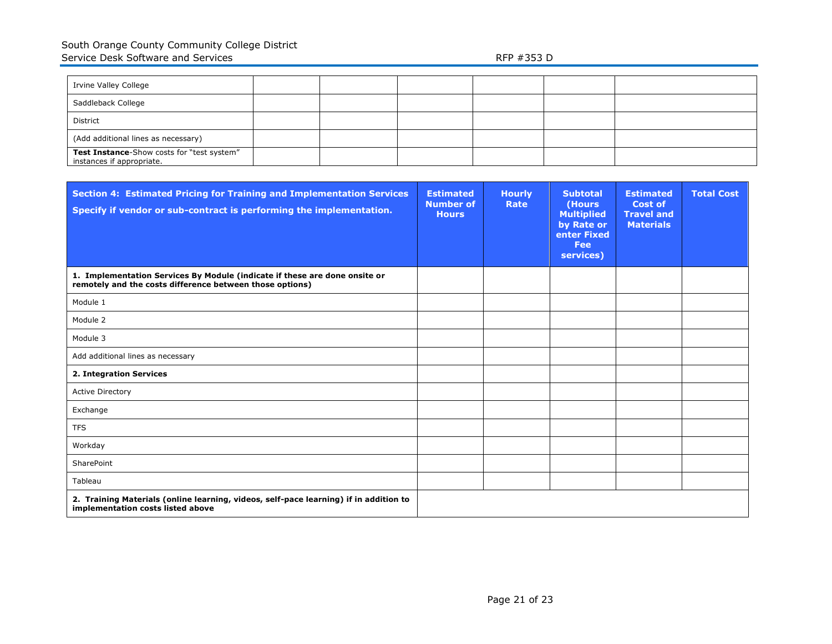| Irvine Valley College                                                   |  |  |  |
|-------------------------------------------------------------------------|--|--|--|
| Saddleback College                                                      |  |  |  |
| District                                                                |  |  |  |
| (Add additional lines as necessary)                                     |  |  |  |
| Test Instance-Show costs for "test system"<br>instances if appropriate. |  |  |  |

| <b>Section 4: Estimated Pricing for Training and Implementation Services</b><br>Specify if vendor or sub-contract is performing the implementation. | <b>Estimated</b><br><b>Number of</b><br><b>Hours</b> | <b>Hourly</b><br>Rate | <b>Subtotal</b><br>(Hours<br><b>Multiplied</b><br>by Rate or<br>enter Fixed<br>Fee<br>services) | <b>Estimated</b><br><b>Cost of</b><br><b>Travel and</b><br><b>Materials</b> | <b>Total Cost</b> |
|-----------------------------------------------------------------------------------------------------------------------------------------------------|------------------------------------------------------|-----------------------|-------------------------------------------------------------------------------------------------|-----------------------------------------------------------------------------|-------------------|
| 1. Implementation Services By Module (indicate if these are done onsite or<br>remotely and the costs difference between those options)              |                                                      |                       |                                                                                                 |                                                                             |                   |
| Module 1                                                                                                                                            |                                                      |                       |                                                                                                 |                                                                             |                   |
| Module 2                                                                                                                                            |                                                      |                       |                                                                                                 |                                                                             |                   |
| Module 3                                                                                                                                            |                                                      |                       |                                                                                                 |                                                                             |                   |
| Add additional lines as necessary                                                                                                                   |                                                      |                       |                                                                                                 |                                                                             |                   |
| 2. Integration Services                                                                                                                             |                                                      |                       |                                                                                                 |                                                                             |                   |
| <b>Active Directory</b>                                                                                                                             |                                                      |                       |                                                                                                 |                                                                             |                   |
| Exchange                                                                                                                                            |                                                      |                       |                                                                                                 |                                                                             |                   |
| <b>TFS</b>                                                                                                                                          |                                                      |                       |                                                                                                 |                                                                             |                   |
| Workday                                                                                                                                             |                                                      |                       |                                                                                                 |                                                                             |                   |
| SharePoint                                                                                                                                          |                                                      |                       |                                                                                                 |                                                                             |                   |
| Tableau                                                                                                                                             |                                                      |                       |                                                                                                 |                                                                             |                   |
| 2. Training Materials (online learning, videos, self-pace learning) if in addition to<br>implementation costs listed above                          |                                                      |                       |                                                                                                 |                                                                             |                   |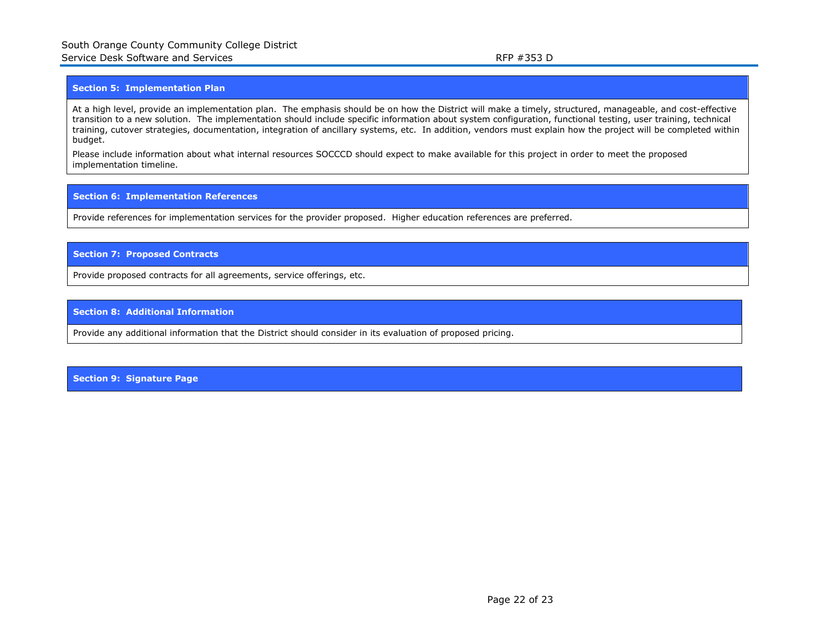#### **Section 5: Implementation Plan**

At a high level, provide an implementation plan. The emphasis should be on how the District will make a timely, structured, manageable, and cost-effective transition to a new solution. The implementation should include specific information about system configuration, functional testing, user training, technical training, cutover strategies, documentation, integration of ancillary systems, etc. In addition, vendors must explain how the project will be completed within budget.

Please include information about what internal resources SOCCCD should expect to make available for this project in order to meet the proposed implementation timeline.

#### **Section 6: Implementation References**

Provide references for implementation services for the provider proposed. Higher education references are preferred.

#### **Section 7: Proposed Contracts**

Provide proposed contracts for all agreements, service offerings, etc.

#### **Section 8: Additional Information**

Provide any additional information that the District should consider in its evaluation of proposed pricing.

**Section 9: Signature Page**